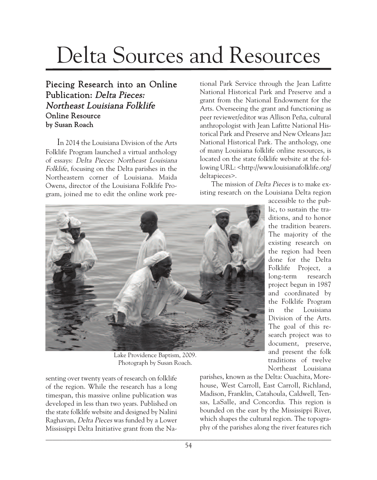## Delta Sources and Resources

## Piecing Research into an Online Publication: Delta Pieces: Northeast Louisiana Folklife Online Resource by Susan Roach

In 2014 the Louisiana Division of the Arts Folklife Program launched a virtual anthology of essays: Delta Pieces: Northeast Louisiana Folklife, focusing on the Delta parishes in the Northeastern corner of Louisiana. Maida Owens, director of the Louisiana Folklife Program, joined me to edit the online work pretional Park Service through the Jean Lafitte National Historical Park and Preserve and a grant from the National Endowment for the Arts. Overseeing the grant and functioning as peer reviewer/editor was Allison Peña, cultural anthropologist with Jean Lafitte National Historical Park and Preserve and New Orleans Jazz National Historical Park. The anthology, one of many Louisiana folklife online resources, is located on the state folklife website at the following URL: <http://www.louisianafolklife.org/ deltapieces>.

The mission of Delta Pieces is to make existing research on the Louisiana Delta region



Lake Providence Baptism, 2009. Photograph by Susan Roach.

senting over twenty years of research on folklife of the region. While the research has a long timespan, this massive online publication was developed in less than two years. Published on the state folklife website and designed by Nalini Raghavan, Delta Pieces was funded by a Lower Mississippi Delta Initiative grant from the Na-

accessible to the public, to sustain the traditions, and to honor the tradition bearers. The majority of the existing research on the region had been done for the Delta Folklife Project, a long-term research project begun in 1987 and coordinated by the Folklife Program in the Louisiana Division of the Arts. The goal of this research project was to document, preserve, and present the folk traditions of twelve Northeast Louisiana

parishes, known as the Delta: Ouachita, Morehouse, West Carroll, East Carroll, Richland, Madison, Franklin, Catahoula, Caldwell, Tensas, LaSalle, and Concordia. This region is bounded on the east by the Mississippi River, which shapes the cultural region. The topography of the parishes along the river features rich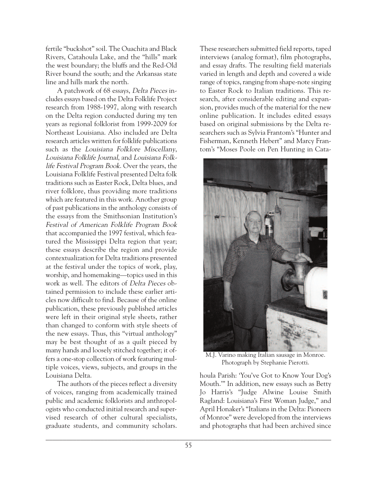fertile "buckshot" soil. The Ouachita and Black Rivers, Catahoula Lake, and the "hills" mark the west boundary; the bluffs and the Red-Old River bound the south; and the Arkansas state line and hills mark the north.

A patchwork of 68 essays, Delta Pieces includes essays based on the Delta Folklife Project research from 1988-1997, along with research on the Delta region conducted during my ten years as regional folklorist from 1999-2009 for Northeast Louisiana. Also included are Delta research articles written for folklife publications such as the Louisiana Folklore Miscellany, Louisiana Folklife Journal, and Louisiana Folklife Festival Program Book. Over the years, the Louisiana Folklife Festival presented Delta folk traditions such as Easter Rock, Delta blues, and river folklore, thus providing more traditions which are featured in this work. Another group of past publications in the anthology consists of the essays from the Smithsonian Institution's Festival of American Folklife Program Book that accompanied the 1997 festival, which featured the Mississippi Delta region that year; these essays describe the region and provide contextualization for Delta traditions presented at the festival under the topics of work, play, worship, and homemaking—topics used in this work as well. The editors of Delta Pieces obtained permission to include these earlier articles now difficult to find. Because of the online publication, these previously published articles were left in their original style sheets, rather than changed to conform with style sheets of the new essays. Thus, this "virtual anthology" may be best thought of as a quilt pieced by many hands and loosely stitched together; it offers a one-stop collection of work featuring multiple voices, views, subjects, and groups in the Louisiana Delta.

The authors of the pieces reflect a diversity of voices, ranging from academically trained public and academic folklorists and anthropologists who conducted initial research and supervised research of other cultural specialists, graduate students, and community scholars. These researchers submitted field reports, taped interviews (analog format), film photographs, and essay drafts. The resulting field materials varied in length and depth and covered a wide range of topics, ranging from shape-note singing to Easter Rock to Italian traditions. This research, after considerable editing and expansion, provides much of the material for the new online publication. It includes edited essays based on original submissions by the Delta researchers such as Sylvia Frantom's "Hunter and Fisherman, Kenneth Hebert" and Marcy Frantom's "Moses Poole on Pen Hunting in Cata-



M.J. Varino making Italian sausage in Monroe. Photograph by Stephanie Pierotti.

houla Parish: 'You've Got to Know Your Dog's Mouth.'" In addition, new essays such as Betty Jo Harris's "Judge Alwine Louise Smith Ragland: Louisiana's First Woman Judge," and April Honaker's "Italians in the Delta: Pioneers of Monroe" were developed from the interviews and photographs that had been archived since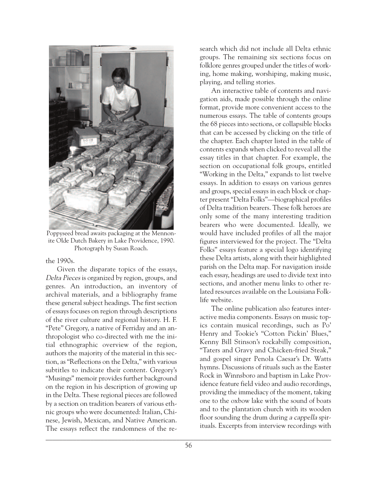

Poppyseed bread awaits packaging at the Mennonite Olde Dutch Bakery in Lake Providence, 1990. Photograph by Susan Roach.

the 1990s.

Given the disparate topics of the essays, Delta Pieces is organized by region, groups, and genres. An introduction, an inventory of archival materials, and a bibliography frame these general subject headings. The first section of essays focuses on region through descriptions of the river culture and regional history. H. F. "Pete" Gregory, a native of Ferriday and an anthropologist who co-directed with me the initial ethnographic overview of the region, authors the majority of the material in this section, as "Reflections on the Delta," with various subtitles to indicate their content. Gregory's "Musings" memoir provides further background on the region in his description of growing up in the Delta. These regional pieces are followed by a section on tradition bearers of various ethnic groups who were documented: Italian, Chinese, Jewish, Mexican, and Native American. The essays reflect the randomness of the re-

search which did not include all Delta ethnic groups. The remaining six sections focus on folklore genres grouped under the titles of working, home making, worshiping, making music, playing, and telling stories.

An interactive table of contents and navigation aids, made possible through the online format, provide more convenient access to the numerous essays. The table of contents groups the 68 pieces into sections, or collapsible blocks that can be accessed by clicking on the title of the chapter. Each chapter listed in the table of contents expands when clicked to reveal all the essay titles in that chapter. For example, the section on occupational folk groups, entitled "Working in the Delta," expands to list twelve essays. In addition to essays on various genres and groups, special essays in each block or chapter present "Delta Folks"—biographical profiles of Delta tradition bearers. These folk heroes are only some of the many interesting tradition bearers who were documented. Ideally, we would have included profiles of all the major figures interviewed for the project. The "Delta Folks" essays feature a special logo identifying these Delta artists, along with their highlighted parish on the Delta map. For navigation inside each essay, headings are used to divide text into sections, and another menu links to other related resources available on the Louisiana Folklife website.

The online publication also features interactive media components. Essays on music topics contain musical recordings, such as Po' Henry and Tookie's "Cotton Pickin' Blues," Kenny Bill Stinson's rockabilly composition, "Taters and Gravy and Chicken-fried Steak," and gospel singer Penola Caesar's Dr. Watts hymns. Discussions of rituals such as the Easter Rock in Winnsboro and baptism in Lake Providence feature field video and audio recordings, providing the immediacy of the moment, taking one to the oxbow lake with the sound of boats and to the plantation church with its wooden floor sounding the drum during a cappella spirituals. Excerpts from interview recordings with